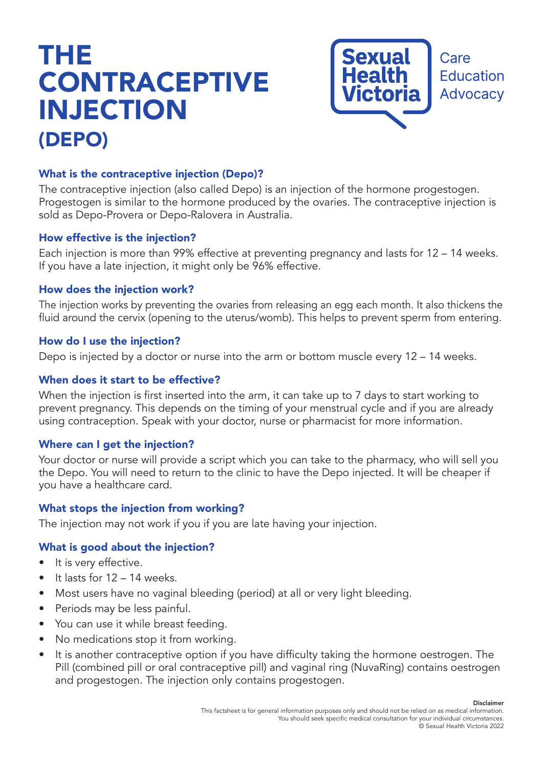# THE **CONTRACEPTIVE** INJECTION (DEPO)



# What is the contraceptive injection (Depo)?

The contraceptive injection (also called Depo) is an injection of the hormone progestogen. Progestogen is similar to the hormone produced by the ovaries. The contraceptive injection is sold as Depo-Provera or Depo-Ralovera in Australia.

#### How effective is the injection?

Each injection is more than 99% effective at preventing pregnancy and lasts for 12 – 14 weeks. If you have a late injection, it might only be 96% effective.

#### How does the injection work?

The injection works by preventing the ovaries from releasing an egg each month. It also thickens the fluid around the cervix (opening to the uterus/womb). This helps to prevent sperm from entering.

#### How do I use the injection?

Depo is injected by a doctor or nurse into the arm or bottom muscle every 12 – 14 weeks.

#### When does it start to be effective?

When the injection is first inserted into the arm, it can take up to 7 days to start working to prevent pregnancy. This depends on the timing of your menstrual cycle and if you are already using contraception. Speak with your doctor, nurse or pharmacist for more information.

#### Where can I get the injection?

Your doctor or nurse will provide a script which you can take to the pharmacy, who will sell you the Depo. You will need to return to the clinic to have the Depo injected. It will be cheaper if you have a healthcare card.

#### What stops the injection from working?

The injection may not work if you if you are late having your injection.

#### What is good about the injection?

- It is very effective.
- $\bullet$  It lasts for 12 14 weeks.
- Most users have no vaginal bleeding (period) at all or very light bleeding.
- Periods may be less painful.
- You can use it while breast feeding.
- No medications stop it from working.
- It is another contraceptive option if you have difficulty taking the hormone oestrogen. The Pill (combined pill or oral contraceptive pill) and vaginal ring (NuvaRing) contains oestrogen and progestogen. The injection only contains progestogen.